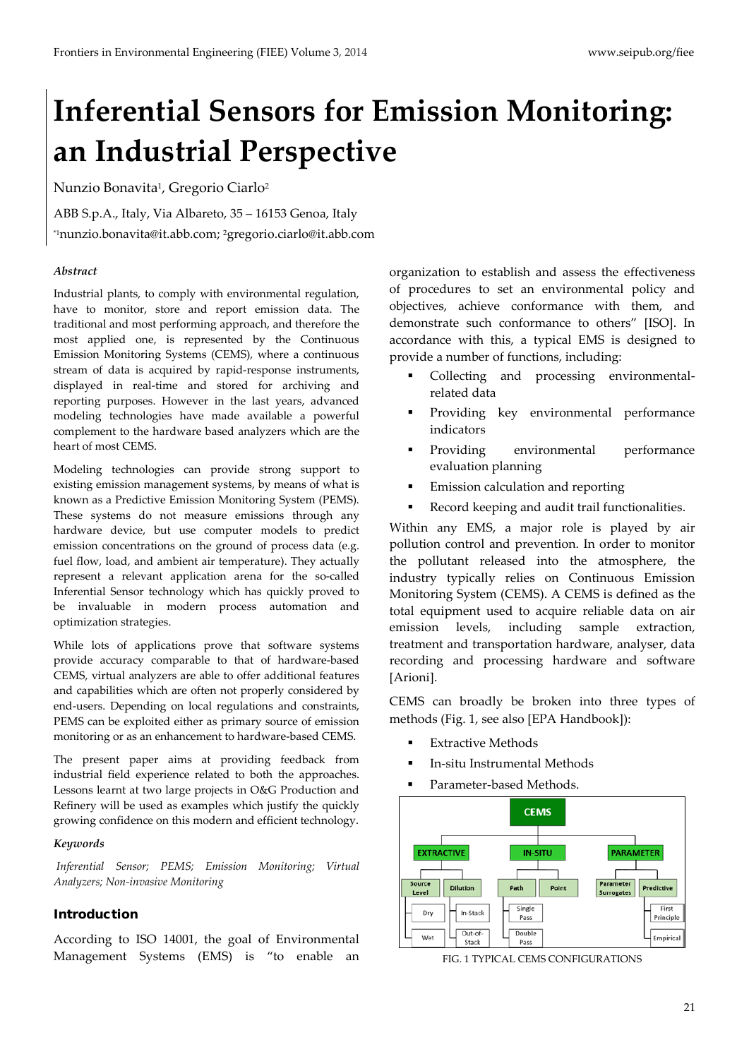# **Inferential Sensors for Emission Monitoring: an Industrial Perspective**

Nunzio Bonavita<sup>1</sup>, Gregorio Ciarlo<sup>2</sup>

ABB S.p.A., Italy, Via Albareto, 35 – 16153 Genoa, Italy \*1nunzio.bonavita@it.abb.com; 2gregorio.ciarlo@it.abb.com

## *Abstract*

Industrial plants, to comply with environmental regulation, have to monitor, store and report emission data. The traditional and most performing approach, and therefore the most applied one, is represented by the Continuous Emission Monitoring Systems (CEMS), where a continuous stream of data is acquired by rapid-response instruments, displayed in real-time and stored for archiving and reporting purposes. However in the last years, advanced modeling technologies have made available a powerful complement to the hardware based analyzers which are the heart of most CEMS.

Modeling technologies can provide strong support to existing emission management systems, by means of what is known as a Predictive Emission Monitoring System (PEMS). These systems do not measure emissions through any hardware device, but use computer models to predict emission concentrations on the ground of process data (e.g. fuel flow, load, and ambient air temperature). They actually represent a relevant application arena for the so-called Inferential Sensor technology which has quickly proved to be invaluable in modern process automation and optimization strategies.

While lots of applications prove that software systems provide accuracy comparable to that of hardware-based CEMS, virtual analyzers are able to offer additional features and capabilities which are often not properly considered by end-users. Depending on local regulations and constraints, PEMS can be exploited either as primary source of emission monitoring or as an enhancement to hardware-based CEMS.

The present paper aims at providing feedback from industrial field experience related to both the approaches. Lessons learnt at two large projects in O&G Production and Refinery will be used as examples which justify the quickly growing confidence on this modern and efficient technology.

### *Keywords*

*Inferential Sensor; PEMS; Emission Monitoring; Virtual Analyzers; Non-invasive Monitoring*

## Introduction

According to ISO 14001, the goal of Environmental Management Systems (EMS) is "to enable an

organization to establish and assess the effectiveness of procedures to set an environmental policy and objectives, achieve conformance with them, and demonstrate such conformance to others" [ISO]. In accordance with this, a typical EMS is designed to provide a number of functions, including:

- Collecting and processing environmentalrelated data
- Providing key environmental performance indicators
- Providing environmental performance evaluation planning
- Emission calculation and reporting
- Record keeping and audit trail functionalities.

Within any EMS, a major role is played by air pollution control and prevention. In order to monitor the pollutant released into the atmosphere, the industry typically relies on Continuous Emission Monitoring System (CEMS). A CEMS is defined as the total equipment used to acquire reliable data on air emission levels, including sample extraction, treatment and transportation hardware, analyser, data recording and processing hardware and software [Arioni].

CEMS can broadly be broken into three types of methods (Fig. 1, see also [EPA Handbook]):

- Extractive Methods
- In-situ Instrumental Methods
- Parameter-based Methods.



FIG. 1 TYPICAL CEMS CONFIGURATIONS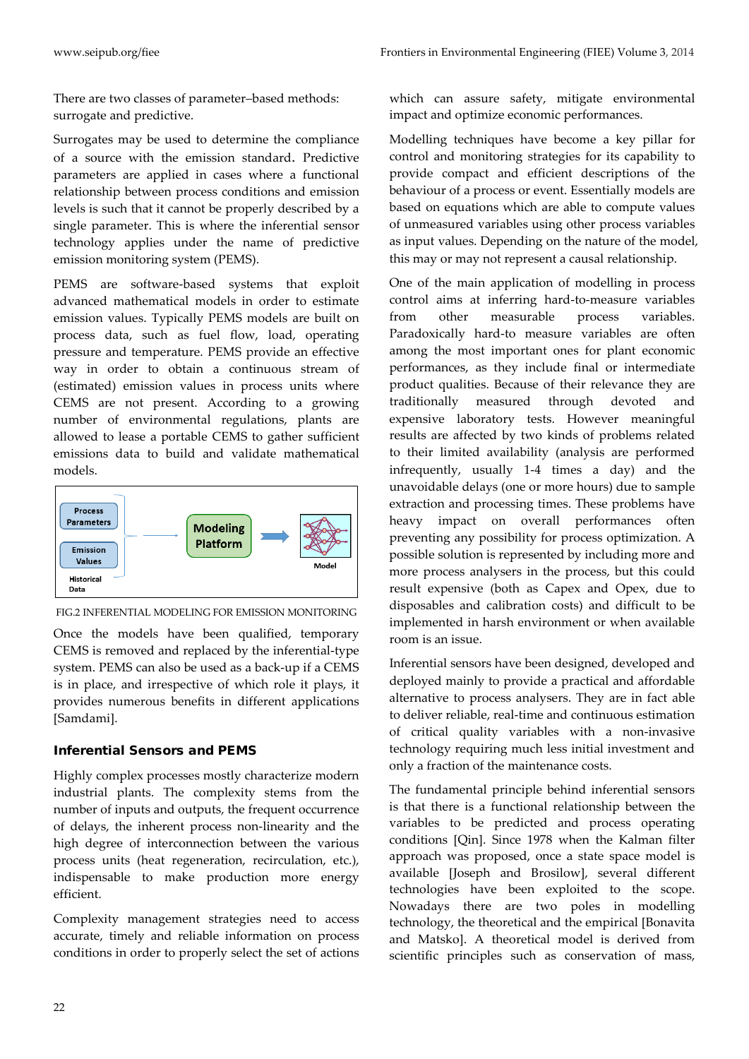There are two classes of parameter–based methods: surrogate and predictive.

Surrogates may be used to determine the compliance of a source with the emission standard. Predictive parameters are applied in cases where a functional relationship between process conditions and emission levels is such that it cannot be properly described by a single parameter. This is where the inferential sensor technology applies under the name of predictive emission monitoring system (PEMS).

PEMS are software-based systems that exploit advanced mathematical models in order to estimate emission values. Typically PEMS models are built on process data, such as fuel flow, load, operating pressure and temperature. PEMS provide an effective way in order to obtain a continuous stream of (estimated) emission values in process units where CEMS are not present. According to a growing number of environmental regulations, plants are allowed to lease a portable CEMS to gather sufficient emissions data to build and validate mathematical models.



FIG.2 INFERENTIAL MODELING FOR EMISSION MONITORING

Once the models have been qualified, temporary CEMS is removed and replaced by the inferential-type system. PEMS can also be used as a back-up if a CEMS is in place, and irrespective of which role it plays, it provides numerous benefits in different applications [Samdami].

# Inferential Sensors and PEMS

Highly complex processes mostly characterize modern industrial plants. The complexity stems from the number of inputs and outputs, the frequent occurrence of delays, the inherent process non-linearity and the high degree of interconnection between the various process units (heat regeneration, recirculation, etc.), indispensable to make production more energy efficient.

Complexity management strategies need to access accurate, timely and reliable information on process conditions in order to properly select the set of actions

which can assure safety, mitigate environmental impact and optimize economic performances.

Modelling techniques have become a key pillar for control and monitoring strategies for its capability to provide compact and efficient descriptions of the behaviour of a process or event. Essentially models are based on equations which are able to compute values of unmeasured variables using other process variables as input values. Depending on the nature of the model, this may or may not represent a causal relationship.

One of the main application of modelling in process control aims at inferring hard-to-measure variables from other measurable process variables. Paradoxically hard-to measure variables are often among the most important ones for plant economic performances, as they include final or intermediate product qualities. Because of their relevance they are traditionally measured through devoted and expensive laboratory tests. However meaningful results are affected by two kinds of problems related to their limited availability (analysis are performed infrequently, usually 1-4 times a day) and the unavoidable delays (one or more hours) due to sample extraction and processing times. These problems have heavy impact on overall performances often preventing any possibility for process optimization. A possible solution is represented by including more and more process analysers in the process, but this could result expensive (both as Capex and Opex, due to disposables and calibration costs) and difficult to be implemented in harsh environment or when available room is an issue.

Inferential sensors have been designed, developed and deployed mainly to provide a practical and affordable alternative to process analysers. They are in fact able to deliver reliable, real-time and continuous estimation of critical quality variables with a non-invasive technology requiring much less initial investment and only a fraction of the maintenance costs.

The fundamental principle behind inferential sensors is that there is a functional relationship between the variables to be predicted and process operating conditions [Qin]. Since 1978 when the Kalman filter approach was proposed, once a state space model is available [Joseph and Brosilow], several different technologies have been exploited to the scope. Nowadays there are two poles in modelling technology, the theoretical and the empirical [Bonavita and Matsko]. A theoretical model is derived from scientific principles such as conservation of mass,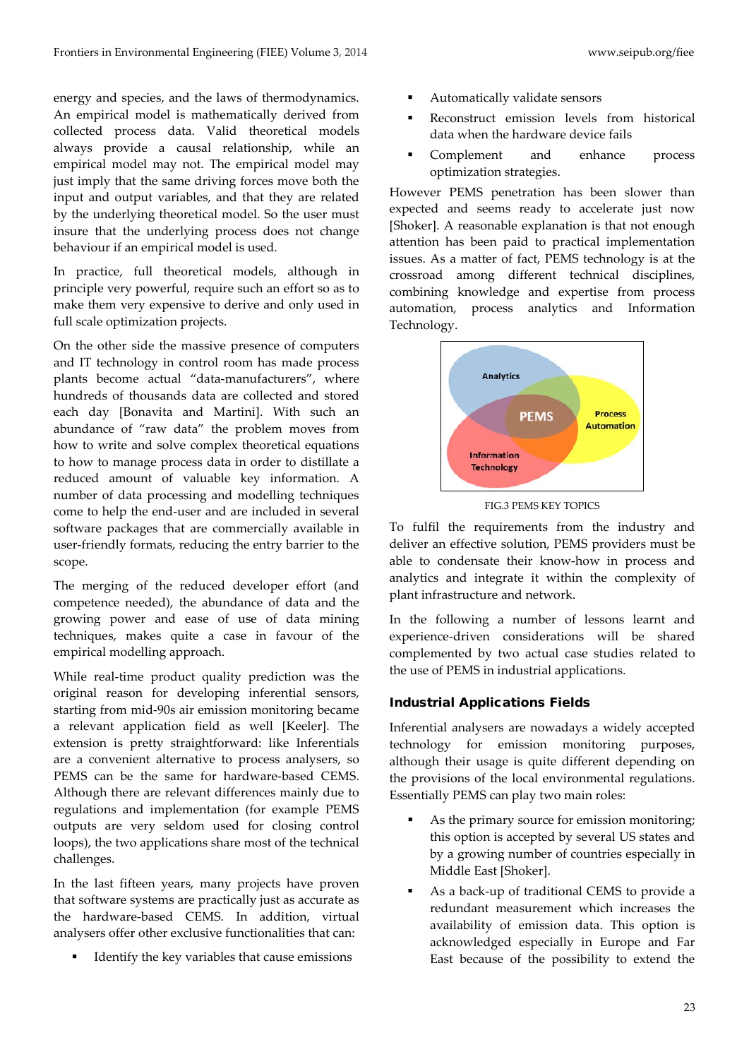energy and species, and the laws of thermodynamics. An empirical model is mathematically derived from collected process data. Valid theoretical models always provide a causal relationship, while an empirical model may not. The empirical model may just imply that the same driving forces move both the input and output variables, and that they are related by the underlying theoretical model. So the user must insure that the underlying process does not change behaviour if an empirical model is used.

In practice, full theoretical models, although in principle very powerful, require such an effort so as to make them very expensive to derive and only used in full scale optimization projects.

On the other side the massive presence of computers and IT technology in control room has made process plants become actual "data-manufacturers", where hundreds of thousands data are collected and stored each day [Bonavita and Martini]. With such an abundance of "raw data" the problem moves from how to write and solve complex theoretical equations to how to manage process data in order to distillate a reduced amount of valuable key information. A number of data processing and modelling techniques come to help the end-user and are included in several software packages that are commercially available in user-friendly formats, reducing the entry barrier to the scope.

The merging of the reduced developer effort (and competence needed), the abundance of data and the growing power and ease of use of data mining techniques, makes quite a case in favour of the empirical modelling approach.

While real-time product quality prediction was the original reason for developing inferential sensors, starting from mid-90s air emission monitoring became a relevant application field as well [Keeler]. The extension is pretty straightforward: like Inferentials are a convenient alternative to process analysers, so PEMS can be the same for hardware-based CEMS. Although there are relevant differences mainly due to regulations and implementation (for example PEMS outputs are very seldom used for closing control loops), the two applications share most of the technical challenges.

In the last fifteen years, many projects have proven that software systems are practically just as accurate as the hardware-based CEMS. In addition, virtual analysers offer other exclusive functionalities that can:

**IDENTIFY** the key variables that cause emissions

- Automatically validate sensors
- Reconstruct emission levels from historical data when the hardware device fails
- Complement and enhance process optimization strategies.

However PEMS penetration has been slower than expected and seems ready to accelerate just now [Shoker]. A reasonable explanation is that not enough attention has been paid to practical implementation issues. As a matter of fact, PEMS technology is at the crossroad among different technical disciplines, combining knowledge and expertise from process automation, process analytics and Information Technology.



FIG.3 PEMS KEY TOPICS

To fulfil the requirements from the industry and deliver an effective solution, PEMS providers must be able to condensate their know-how in process and analytics and integrate it within the complexity of plant infrastructure and network.

In the following a number of lessons learnt and experience-driven considerations will be shared complemented by two actual case studies related to the use of PEMS in industrial applications.

# Industrial Applications Fields

Inferential analysers are nowadays a widely accepted technology for emission monitoring purposes, although their usage is quite different depending on the provisions of the local environmental regulations. Essentially PEMS can play two main roles:

- As the primary source for emission monitoring; this option is accepted by several US states and by a growing number of countries especially in Middle East [Shoker].
- As a back-up of traditional CEMS to provide a redundant measurement which increases the availability of emission data. This option is acknowledged especially in Europe and Far East because of the possibility to extend the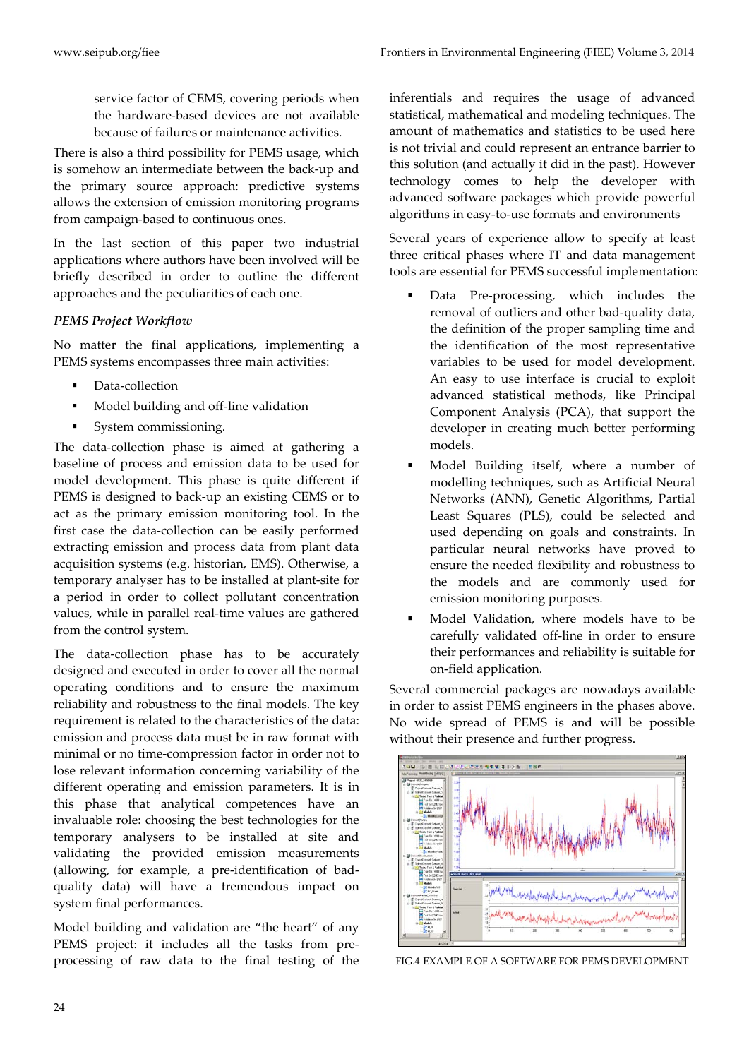www.seipub.org/fiee Frontiers in Environmental Engineering (FIEE) Volume 3, 2014

service factor of CEMS, covering periods when the hardware-based devices are not available because of failures or maintenance activities.

There is also a third possibility for PEMS usage, which is somehow an intermediate between the back-up and the primary source approach: predictive systems allows the extension of emission monitoring programs from campaign-based to continuous ones.

In the last section of this paper two industrial applications where authors have been involved will be briefly described in order to outline the different approaches and the peculiarities of each one.

## *PEMS Project Workflow*

No matter the final applications, implementing a PEMS systems encompasses three main activities:

- Data-collection
- Model building and off-line validation
- System commissioning.

The data-collection phase is aimed at gathering a baseline of process and emission data to be used for model development. This phase is quite different if PEMS is designed to back-up an existing CEMS or to act as the primary emission monitoring tool. In the first case the data-collection can be easily performed extracting emission and process data from plant data acquisition systems (e.g. historian, EMS). Otherwise, a temporary analyser has to be installed at plant-site for a period in order to collect pollutant concentration values, while in parallel real-time values are gathered from the control system.

The data-collection phase has to be accurately designed and executed in order to cover all the normal operating conditions and to ensure the maximum reliability and robustness to the final models. The key requirement is related to the characteristics of the data: emission and process data must be in raw format with minimal or no time-compression factor in order not to lose relevant information concerning variability of the different operating and emission parameters. It is in this phase that analytical competences have an invaluable role: choosing the best technologies for the temporary analysers to be installed at site and validating the provided emission measurements (allowing, for example, a pre-identification of badquality data) will have a tremendous impact on system final performances.

Model building and validation are "the heart" of any PEMS project: it includes all the tasks from preprocessing of raw data to the final testing of the inferentials and requires the usage of advanced statistical, mathematical and modeling techniques. The amount of mathematics and statistics to be used here is not trivial and could represent an entrance barrier to this solution (and actually it did in the past). However technology comes to help the developer with advanced software packages which provide powerful algorithms in easy-to-use formats and environments

Several years of experience allow to specify at least three critical phases where IT and data management tools are essential for PEMS successful implementation:

- Data Pre-processing, which includes the removal of outliers and other bad-quality data, the definition of the proper sampling time and the identification of the most representative variables to be used for model development. An easy to use interface is crucial to exploit advanced statistical methods, like Principal Component Analysis (PCA), that support the developer in creating much better performing models.
- Model Building itself, where a number of modelling techniques, such as Artificial Neural Networks (ANN), Genetic Algorithms, Partial Least Squares (PLS), could be selected and used depending on goals and constraints. In particular neural networks have proved to ensure the needed flexibility and robustness to the models and are commonly used for emission monitoring purposes.
- Model Validation, where models have to be carefully validated off-line in order to ensure their performances and reliability is suitable for on-field application.

Several commercial packages are nowadays available in order to assist PEMS engineers in the phases above. No wide spread of PEMS is and will be possible without their presence and further progress.



FIG.4 EXAMPLE OF A SOFTWARE FOR PEMS DEVELOPMENT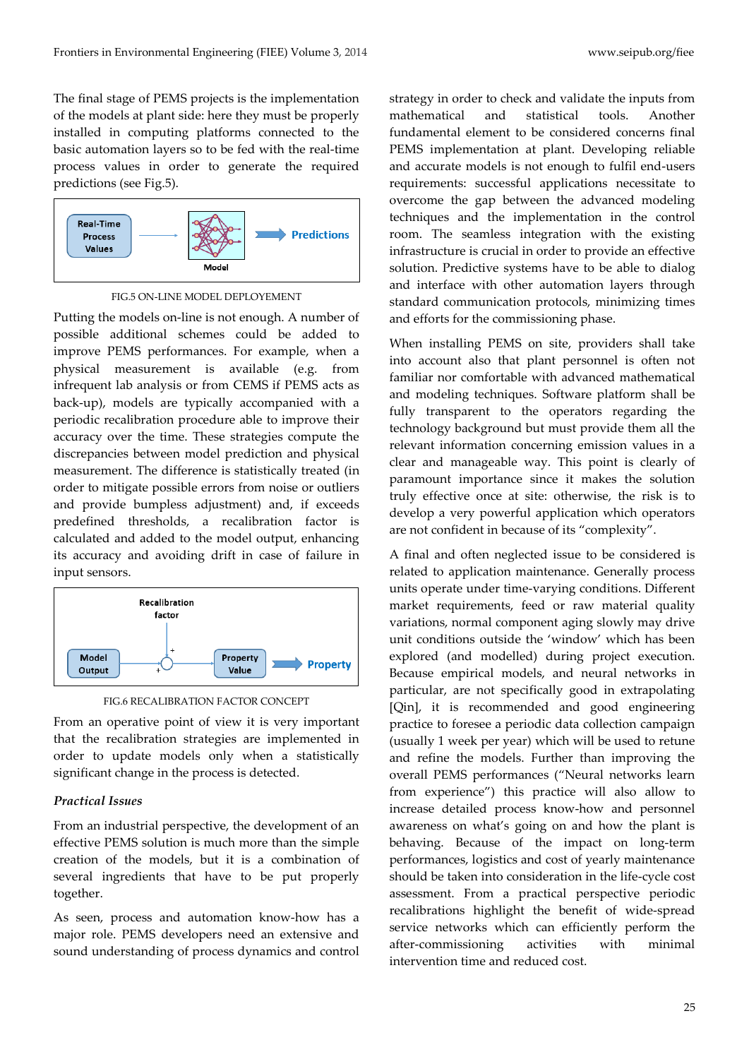The final stage of PEMS projects is the implementation of the models at plant side: here they must be properly installed in computing platforms connected to the basic automation layers so to be fed with the real-time process values in order to generate the required predictions (see Fig.5).



FIG.5 ON-LINE MODEL DEPLOYEMENT

Putting the models on-line is not enough. A number of possible additional schemes could be added to improve PEMS performances. For example, when a physical measurement is available (e.g. from infrequent lab analysis or from CEMS if PEMS acts as back-up), models are typically accompanied with a periodic recalibration procedure able to improve their accuracy over the time. These strategies compute the discrepancies between model prediction and physical measurement. The difference is statistically treated (in order to mitigate possible errors from noise or outliers and provide bumpless adjustment) and, if exceeds predefined thresholds, a recalibration factor is calculated and added to the model output, enhancing its accuracy and avoiding drift in case of failure in input sensors.





From an operative point of view it is very important that the recalibration strategies are implemented in order to update models only when a statistically significant change in the process is detected.

### *Practical Issues*

From an industrial perspective, the development of an effective PEMS solution is much more than the simple creation of the models, but it is a combination of several ingredients that have to be put properly together.

As seen, process and automation know-how has a major role. PEMS developers need an extensive and sound understanding of process dynamics and control strategy in order to check and validate the inputs from mathematical and statistical tools. Another fundamental element to be considered concerns final PEMS implementation at plant. Developing reliable and accurate models is not enough to fulfil end-users requirements: successful applications necessitate to overcome the gap between the advanced modeling techniques and the implementation in the control room. The seamless integration with the existing infrastructure is crucial in order to provide an effective solution. Predictive systems have to be able to dialog and interface with other automation layers through standard communication protocols, minimizing times and efforts for the commissioning phase.

When installing PEMS on site, providers shall take into account also that plant personnel is often not familiar nor comfortable with advanced mathematical and modeling techniques. Software platform shall be fully transparent to the operators regarding the technology background but must provide them all the relevant information concerning emission values in a clear and manageable way. This point is clearly of paramount importance since it makes the solution truly effective once at site: otherwise, the risk is to develop a very powerful application which operators are not confident in because of its "complexity".

A final and often neglected issue to be considered is related to application maintenance. Generally process units operate under time-varying conditions. Different market requirements, feed or raw material quality variations, normal component aging slowly may drive unit conditions outside the 'window' which has been explored (and modelled) during project execution. Because empirical models, and neural networks in particular, are not specifically good in extrapolating [Qin], it is recommended and good engineering practice to foresee a periodic data collection campaign (usually 1 week per year) which will be used to retune and refine the models. Further than improving the overall PEMS performances ("Neural networks learn from experience") this practice will also allow to increase detailed process know-how and personnel awareness on what's going on and how the plant is behaving. Because of the impact on long-term performances, logistics and cost of yearly maintenance should be taken into consideration in the life-cycle cost assessment. From a practical perspective periodic recalibrations highlight the benefit of wide-spread service networks which can efficiently perform the after-commissioning activities with minimal intervention time and reduced cost.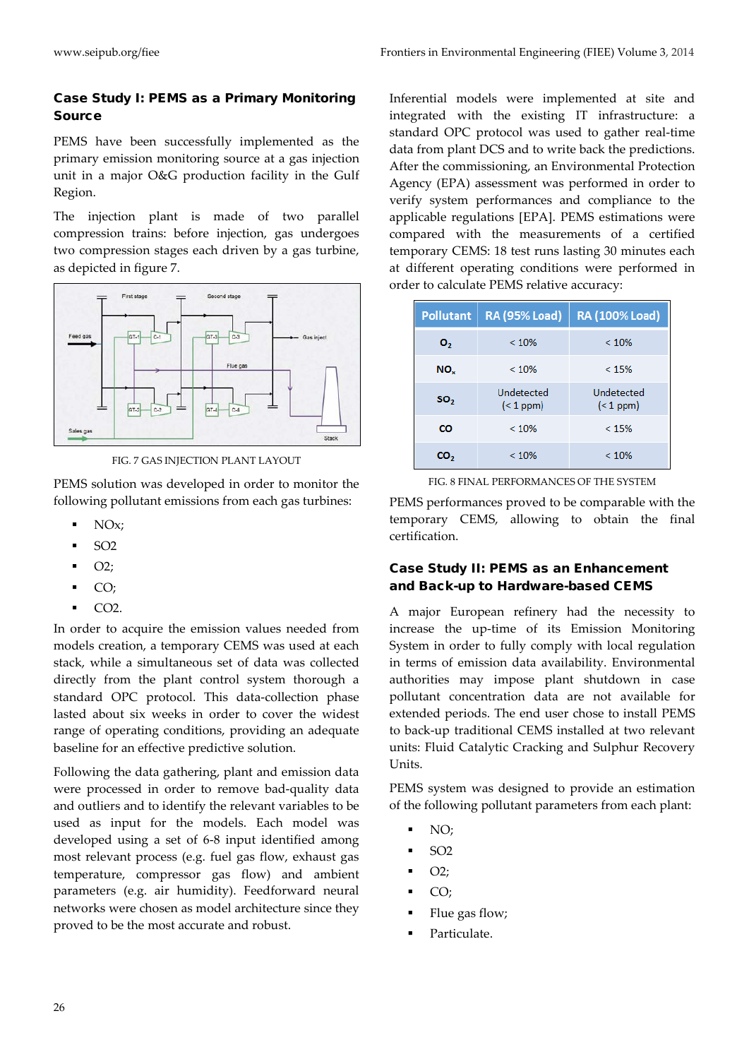# Case Study I: PEMS as a Primary Monitoring Source

PEMS have been successfully implemented as the primary emission monitoring source at a gas injection unit in a major O&G production facility in the Gulf Region.

The injection plant is made of two parallel compression trains: before injection, gas undergoes two compression stages each driven by a gas turbine, as depicted in figure 7.



FIG. 7 GAS INJECTION PLANT LAYOUT

PEMS solution was developed in order to monitor the following pollutant emissions from each gas turbines:

- NOx;
- $-$  SO<sub>2</sub>
- $\bullet$  O2;
- $\overline{C}$
- CO<sub>2</sub>.

In order to acquire the emission values needed from models creation, a temporary CEMS was used at each stack, while a simultaneous set of data was collected directly from the plant control system thorough a standard OPC protocol. This data-collection phase lasted about six weeks in order to cover the widest range of operating conditions, providing an adequate baseline for an effective predictive solution.

Following the data gathering, plant and emission data were processed in order to remove bad-quality data and outliers and to identify the relevant variables to be used as input for the models. Each model was developed using a set of 6-8 input identified among most relevant process (e.g. fuel gas flow, exhaust gas temperature, compressor gas flow) and ambient parameters (e.g. air humidity). Feedforward neural networks were chosen as model architecture since they proved to be the most accurate and robust.

Inferential models were implemented at site and integrated with the existing IT infrastructure: a standard OPC protocol was used to gather real-time data from plant DCS and to write back the predictions. After the commissioning, an Environmental Protection Agency (EPA) assessment was performed in order to verify system performances and compliance to the applicable regulations [EPA]. PEMS estimations were compared with the measurements of a certified temporary CEMS: 18 test runs lasting 30 minutes each at different operating conditions were performed in order to calculate PEMS relative accuracy:

| <b>Pollutant</b> | <b>RA (95% Load)</b>    | RA (100% Load)          |
|------------------|-------------------------|-------------------------|
| о,               | < 10%                   | < 10%                   |
| NO <sub>x</sub>  | < 10%                   | < 15%                   |
| SO <sub>2</sub>  | Undetected<br>$(1$ ppm) | Undetected<br>$(1$ ppm) |
| CO               | < 10%                   | < 15%                   |
| CO,              | < 10%                   | < 10%                   |

FIG. 8 FINAL PERFORMANCES OF THE SYSTEM

PEMS performances proved to be comparable with the temporary CEMS, allowing to obtain the final certification.

# Case Study II: PEMS as an Enhancement and Back-up to Hardware-based CEMS

A major European refinery had the necessity to increase the up-time of its Emission Monitoring System in order to fully comply with local regulation in terms of emission data availability. Environmental authorities may impose plant shutdown in case pollutant concentration data are not available for extended periods. The end user chose to install PEMS to back-up traditional CEMS installed at two relevant units: Fluid Catalytic Cracking and Sulphur Recovery Units.

PEMS system was designed to provide an estimation of the following pollutant parameters from each plant:

- NO;
- SO2
- $\bullet$  O2;
- $CO;$
- Flue gas flow;
- Particulate.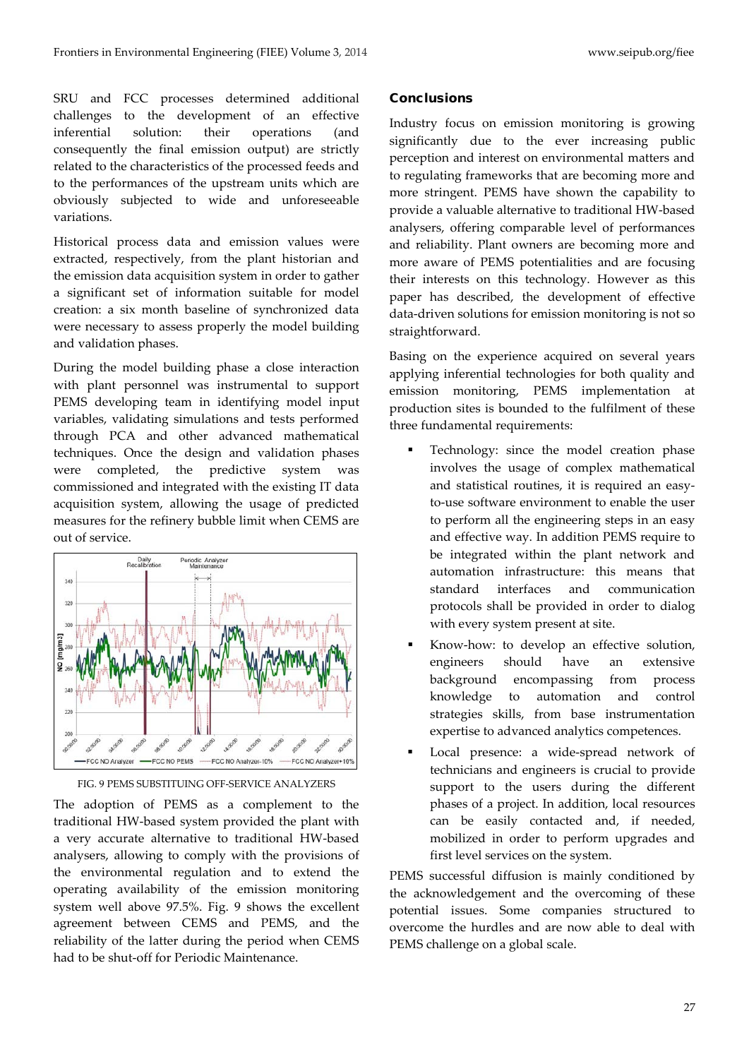SRU and FCC processes determined additional challenges to the development of an effective inferential solution: their operations (and consequently the final emission output) are strictly related to the characteristics of the processed feeds and to the performances of the upstream units which are obviously subjected to wide and unforeseeable variations.

Historical process data and emission values were extracted, respectively, from the plant historian and the emission data acquisition system in order to gather a significant set of information suitable for model creation: a six month baseline of synchronized data were necessary to assess properly the model building and validation phases.

During the model building phase a close interaction with plant personnel was instrumental to support PEMS developing team in identifying model input variables, validating simulations and tests performed through PCA and other advanced mathematical techniques. Once the design and validation phases were completed, the predictive system was commissioned and integrated with the existing IT data acquisition system, allowing the usage of predicted measures for the refinery bubble limit when CEMS are out of service.





The adoption of PEMS as a complement to the traditional HW-based system provided the plant with a very accurate alternative to traditional HW-based analysers, allowing to comply with the provisions of the environmental regulation and to extend the operating availability of the emission monitoring system well above 97.5%. Fig. 9 shows the excellent agreement between CEMS and PEMS, and the reliability of the latter during the period when CEMS had to be shut-off for Periodic Maintenance.

### **Conclusions**

Industry focus on emission monitoring is growing significantly due to the ever increasing public perception and interest on environmental matters and to regulating frameworks that are becoming more and more stringent. PEMS have shown the capability to provide a valuable alternative to traditional HW-based analysers, offering comparable level of performances and reliability. Plant owners are becoming more and more aware of PEMS potentialities and are focusing their interests on this technology. However as this paper has described, the development of effective data-driven solutions for emission monitoring is not so straightforward.

Basing on the experience acquired on several years applying inferential technologies for both quality and emission monitoring, PEMS implementation at production sites is bounded to the fulfilment of these three fundamental requirements:

- Technology: since the model creation phase involves the usage of complex mathematical and statistical routines, it is required an easyto-use software environment to enable the user to perform all the engineering steps in an easy and effective way. In addition PEMS require to be integrated within the plant network and automation infrastructure: this means that standard interfaces and communication protocols shall be provided in order to dialog with every system present at site.
- Know-how: to develop an effective solution, engineers should have an extensive background encompassing from process knowledge to automation and control strategies skills, from base instrumentation expertise to advanced analytics competences.
- Local presence: a wide-spread network of technicians and engineers is crucial to provide support to the users during the different phases of a project. In addition, local resources can be easily contacted and, if needed, mobilized in order to perform upgrades and first level services on the system.

PEMS successful diffusion is mainly conditioned by the acknowledgement and the overcoming of these potential issues. Some companies structured to overcome the hurdles and are now able to deal with PEMS challenge on a global scale.